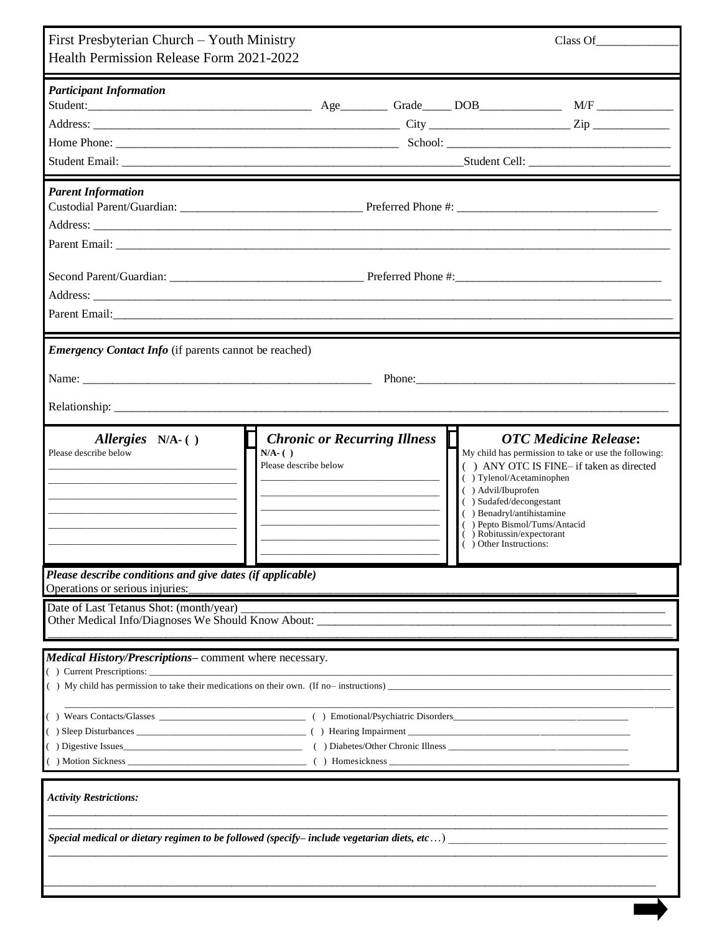| First Presbyterian Church - Youth Ministry<br>Health Permission Release Form 2021-2022                                                                                                                                                                          | Class Of                                                                                                                                                                                                                                                                                                                                                                   |  |
|-----------------------------------------------------------------------------------------------------------------------------------------------------------------------------------------------------------------------------------------------------------------|----------------------------------------------------------------------------------------------------------------------------------------------------------------------------------------------------------------------------------------------------------------------------------------------------------------------------------------------------------------------------|--|
| <b>Participant Information</b>                                                                                                                                                                                                                                  |                                                                                                                                                                                                                                                                                                                                                                            |  |
| <b>Parent Information</b>                                                                                                                                                                                                                                       |                                                                                                                                                                                                                                                                                                                                                                            |  |
|                                                                                                                                                                                                                                                                 | Parent Email: <u>Contract Communications</u> and Communications and Communications and Communications and Communications and Communications and Communications and Communications and Communications and Communications and Communi                                                                                                                                        |  |
| <b>Emergency Contact Info</b> (if parents cannot be reached)                                                                                                                                                                                                    |                                                                                                                                                                                                                                                                                                                                                                            |  |
| Allergies N/A-()<br>Please describe below<br>$N/A$ - $( )$<br>Please describe below<br><u> 1990 - Jan James James Jan James James Jan James James Jan James James Jan James James James James James James Ja</u><br><u> 1980 - Jan Samuel Barbara, martin d</u> | <b>Chronic or Recurring Illness</b><br><b>OTC</b> Medicine Release:<br>My child has permission to take or use the following:<br>() ANY OTC IS FINE- if taken as directed<br>() Tylenol/Acetaminophen<br>() Advil/Ibuprofen<br>() Sudafed/decongestant<br>() Benadryl/antihistamine<br>() Pepto Bismol/Tums/Antacid<br>() Robitussin/expectorant<br>( ) Other Instructions: |  |
| Please describe conditions and give dates (if applicable)<br>Operations or serious injuries:                                                                                                                                                                    |                                                                                                                                                                                                                                                                                                                                                                            |  |
| Date of Last Tetanus Shot: (month/year)<br>Other Medical Info/Diagnoses We Should Know About: _____________________________                                                                                                                                     |                                                                                                                                                                                                                                                                                                                                                                            |  |
| Medical History/Prescriptions-comment where necessary.                                                                                                                                                                                                          |                                                                                                                                                                                                                                                                                                                                                                            |  |
| <b>Activity Restrictions:</b>                                                                                                                                                                                                                                   | Special medical or dietary regimen to be followed (specify-include vegetarian diets, etc)                                                                                                                                                                                                                                                                                  |  |